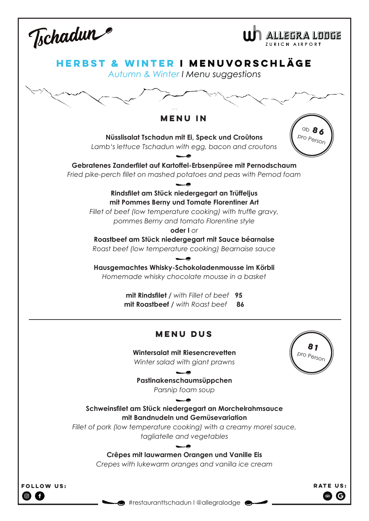